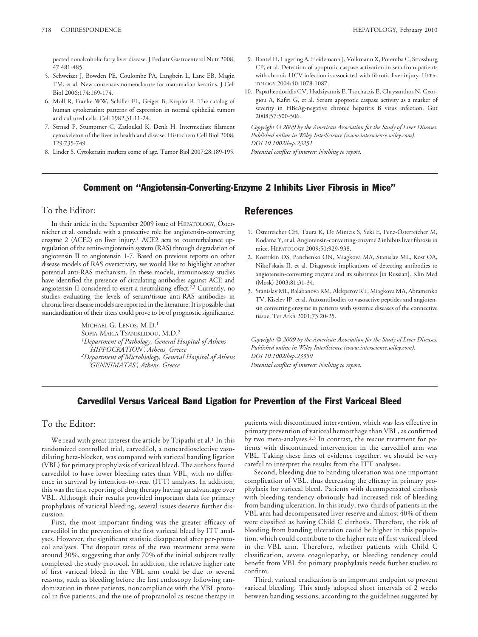pected nonalcoholic fatty liver disease. J Pediatr Gastroenterol Nutr 2008; 47:481-485.

- 5. Schweizer J, Bowden PE, Coulombe PA, Langbein L, Lane EB, Magin TM, et al. New consensus nomenclature for mammalian keratins. J Cell Biol 2006;174:169-174.
- 6. Moll R, Franke WW, Schiller FL, Geiger B, Krepler R. The catalog of human cytokeratins: patterns of expression in normal epithelial tumors and cultured cells. Cell 1982;31:11-24.
- 7. Strnad P, Stumptner C, Zatloukal K, Denk H. Intermediate filament cytoskeleton of the liver in health and disease. Histochem Cell Biol 2008; 129:735-749.
- 8. Linder S. Cytokeratin markers come of age. Tumor Biol 2007;28:189-195.
- 9. Bantel H, Lugering A, Heidemann J, Volkmann X, Poremba C, Strassburg CP, et al. Detection of apoptotic caspase activation in sera from patients with chronic HCV infection is associated with fibrotic liver injury. HEPA-TOLOGY 2004;40:1078-1087.
- 10. Papatheodoridis GV, Hadziyannis E, Tsochatzis E, Chrysanthos N, Georgiou A, Kafiri G, et al. Serum apoptotic caspase activity as a marker of severity in HBeAg-negative chronic hepatitis B virus infection. Gut 2008;57:500-506.

*Copyright © 2009 by the American Association for the Study of Liver Diseases. Published online in Wiley InterScience (www.interscience.wiley.com). DOI 10.1002/hep.23251 Potential conflict of interest: Nothing to report.*

### Comment on "Angiotensin-Converting-Enzyme 2 Inhibits Liver Fibrosis in Mice"

### To the Editor:

In their article in the September 2009 issue of HEPATOLOGY, Österreicher et al. conclude with a protective role for angiotensin-converting enzyme 2 (ACE2) on liver injury.<sup>1</sup> ACE2 acts to counterbalance upregulation of the renin-angiotensin system (RAS) through degradation of angiotensin II to angiotensin 1-7. Based on previous reports on other disease models of RAS overactivity, we would like to highlight another potential anti-RAS mechanism. In these models, immunoassay studies have identified the presence of circulating antibodies against ACE and angiotensin II considered to exert a neutralizing effect.<sup>2,3</sup> Currently, no studies evaluating the levels of serum/tissue anti-RAS antibodies in chronic liver disease models are reported in the literature. It is possible that standardization of their titers could prove to be of prognostic significance.

> MICHAEL G. LENOS, M.D.1 SOFIA-MARIA TSANIKLIDOU, M.D.2 *1Department of Pathology, General Hospital of Athens 'HIPPOCRATION', Athens, Greece 2Department of Microbiology, General Hospital of Athens 'GENNIMATAS', Athens, Greece*

# **References**

- 1. Österreicher CH, Taura K, De Minicis S, Seki E, Penz-Österreicher M, Kodama Y, et al. Angiotensin-converting-enzyme 2 inhibits liver fibrosis in mice. HEPATOLOGY 2009;50:929-938.
- 2. Kostrikin DS, Panchenko ON, Miagkova MA, Stanislav ML, Kost OA, Nikol'skaia II, et al. Diagnostic implications of detecting antibodies to angiotensin-converting enzyme and its substrates [in Russian]. Klin Med (Mosk) 2003;81:31-34.
- 3. Stanislav ML, Balabanova RM, Alekperov RT, Miagkova MA, Abramenko TV, Kiselev IP, et al. Autoantibodies to vasoactive peptides and angiotensin converting enzyme in patients with systemic diseases of the connective tissue. Ter Arkh 2001;73:20-25.

*Copyright © 2009 by the American Association for the Study of Liver Diseases. Published online in Wiley InterScience (www.interscience.wiley.com). DOI 10.1002/hep.23350 Potential conflict of interest: Nothing to report.*

#### Carvedilol Versus Variceal Band Ligation for Prevention of the First Variceal Bleed

# To the Editor:

We read with great interest the article by Tripathi et al.<sup>1</sup> In this randomized controlled trial, carvedilol, a noncardioselective vasodilating beta-blocker, was compared with variceal banding ligation (VBL) for primary prophylaxis of variceal bleed. The authors found carvedilol to have lower bleeding rates than VBL, with no difference in survival by intention-to-treat (ITT) analyses. In addition, this was the first reporting of drug therapy having an advantage over VBL. Although their results provided important data for primary prophylaxis of variceal bleeding, several issues deserve further discussion.

First, the most important finding was the greater efficacy of carvedilol in the prevention of the first variceal bleed by ITT analyses. However, the significant statistic disappeared after per-protocol analyses. The dropout rates of the two treatment arms were around 30%, suggesting that only 70% of the initial subjects really completed the study protocol. In addition, the relative higher rate of first variceal bleed in the VBL arm could be due to several reasons, such as bleeding before the first endoscopy following randomization in three patients, noncompliance with the VBL protocol in five patients, and the use of propranolol as rescue therapy in

patients with discontinued intervention, which was less effective in primary prevention of variceal hemorrhage than VBL, as confirmed by two meta-analyses.2,3 In contrast, the rescue treatment for patients with discontinued intervention in the carvedilol arm was VBL. Taking these lines of evidence together, we should be very careful to interpret the results from the ITT analyses.

Second, bleeding due to banding ulceration was one important complication of VBL, thus decreasing the efficacy in primary prophylaxis for variceal bleed. Patients with decompensated cirrhosis with bleeding tendency obviously had increased risk of bleeding from banding ulceration. In this study, two-thirds of patients in the VBL arm had decompensated liver reserve and almost 40% of them were classified as having Child C cirrhosis. Therefore, the risk of bleeding from banding ulceration could be higher in this population, which could contribute to the higher rate of first variceal bleed in the VBL arm. Therefore, whether patients with Child C classification, severe coagulopathy, or bleeding tendency could benefit from VBL for primary prophylaxis needs further studies to confirm.

Third, variceal eradication is an important endpoint to prevent variceal bleeding. This study adopted short intervals of 2 weeks between banding sessions, according to the guidelines suggested by